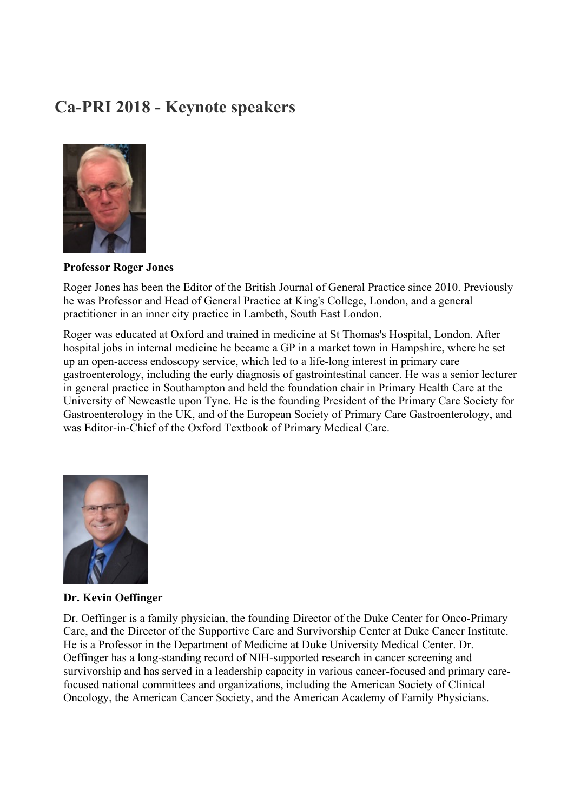# **Ca-PRI 2018 - Keynote speakers**



## **Professor Roger Jones**

Roger Jones has been the Editor of the British Journal of General Practice since 2010. Previously he was Professor and Head of General Practice at King's College, London, and a general practitioner in an inner city practice in Lambeth, South East London.

Roger was educated at Oxford and trained in medicine at St Thomas's Hospital, London. After hospital jobs in internal medicine he became a GP in a market town in Hampshire, where he set up an open-access endoscopy service, which led to a life-long interest in primary care gastroenterology, including the early diagnosis of gastrointestinal cancer. He was a senior lecturer in general practice in Southampton and held the foundation chair in Primary Health Care at the University of Newcastle upon Tyne. He is the founding President of the Primary Care Society for Gastroenterology in the UK, and of the European Society of Primary Care Gastroenterology, and was Editor-in-Chief of the Oxford Textbook of Primary Medical Care.



## **Dr. Kevin Oeffinger**

Dr. Oeffinger is a family physician, the founding Director of the Duke Center for Onco-Primary Care, and the Director of the Supportive Care and Survivorship Center at Duke Cancer Institute. He is a Professor in the Department of Medicine at Duke University Medical Center. Dr. Oeffinger has a long-standing record of NIH-supported research in cancer screening and survivorship and has served in a leadership capacity in various cancer-focused and primary carefocused national committees and organizations, including the American Society of Clinical Oncology, the American Cancer Society, and the American Academy of Family Physicians.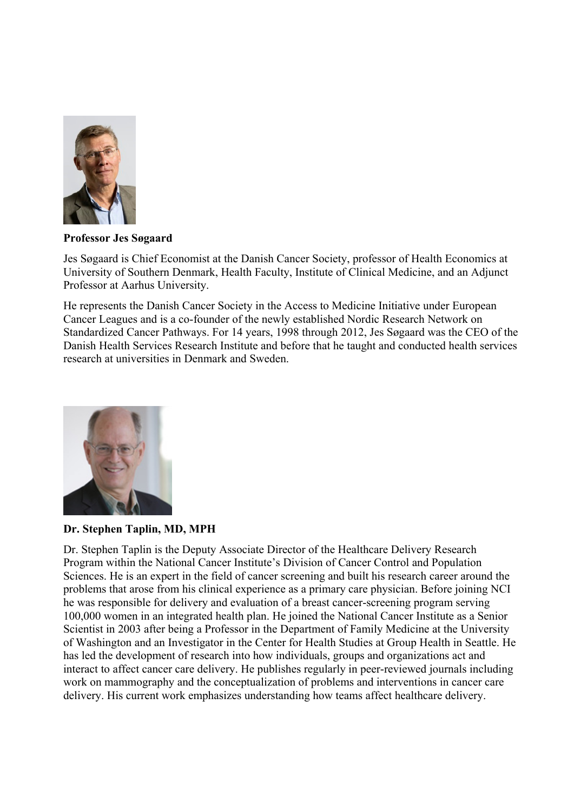

## **Professor Jes Søgaard**

Jes Søgaard is Chief Economist at the Danish Cancer Society, professor of Health Economics at University of Southern Denmark, Health Faculty, Institute of Clinical Medicine, and an Adjunct Professor at Aarhus University.

He represents the Danish Cancer Society in the Access to Medicine Initiative under European Cancer Leagues and is a co-founder of the newly established Nordic Research Network on Standardized Cancer Pathways. For 14 years, 1998 through 2012, Jes Søgaard was the CEO of the Danish Health Services Research Institute and before that he taught and conducted health services research at universities in Denmark and Sweden.



# **Dr. Stephen Taplin, MD, MPH**

Dr. Stephen Taplin is the Deputy Associate Director of the Healthcare Delivery Research Program within the National Cancer Institute's Division of Cancer Control and Population Sciences. He is an expert in the field of cancer screening and built his research career around the problems that arose from his clinical experience as a primary care physician. Before joining NCI he was responsible for delivery and evaluation of a breast cancer-screening program serving 100,000 women in an integrated health plan. He joined the National Cancer Institute as a Senior Scientist in 2003 after being a Professor in the Department of Family Medicine at the University of Washington and an Investigator in the Center for Health Studies at Group Health in Seattle. He has led the development of research into how individuals, groups and organizations act and interact to affect cancer care delivery. He publishes regularly in peer-reviewed journals including work on mammography and the conceptualization of problems and interventions in cancer care delivery. His current work emphasizes understanding how teams affect healthcare delivery.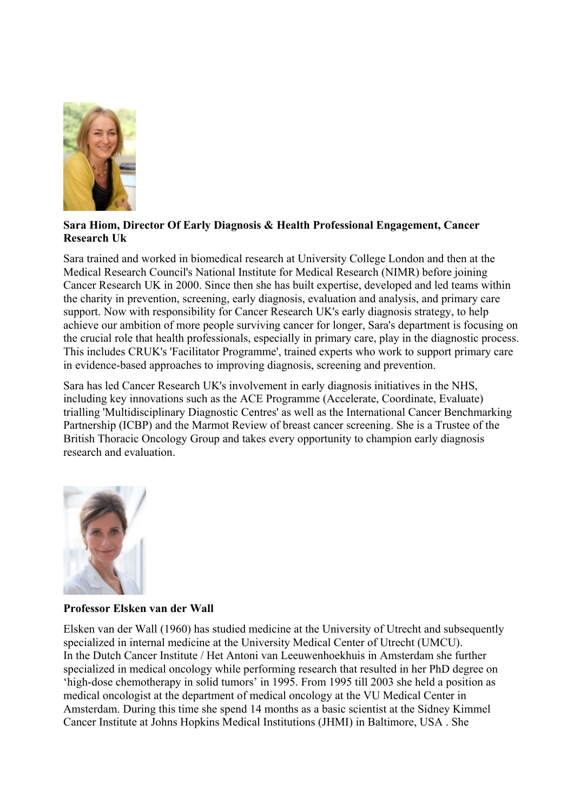

## **Sara Hiom, Director Of Early Diagnosis & Health Professional Engagement, Cancer Research Uk**

Sara trained and worked in biomedical research at University College London and then at the Medical Research Council's National Institute for Medical Research (NIMR) before joining Cancer Research UK in 2000. Since then she has built expertise, developed and led teams within the charity in prevention, screening, early diagnosis, evaluation and analysis, and primary care support. Now with responsibility for Cancer Research UK's early diagnosis strategy, to help achieve our ambition of more people surviving cancer for longer, Sara's department is focusing on the crucial role that health professionals, especially in primary care, play in the diagnostic process. This includes CRUK's 'Facilitator Programme', trained experts who work to support primary care in evidence-based approaches to improving diagnosis, screening and prevention.

Sara has led Cancer Research UK's involvement in early diagnosis initiatives in the NHS, including key innovations such as the ACE Programme (Accelerate, Coordinate, Evaluate) trialling 'Multidisciplinary Diagnostic Centres' as well as the International Cancer Benchmarking Partnership (ICBP) and the Marmot Review of breast cancer screening. She is a Trustee of the British Thoracic Oncology Group and takes every opportunity to champion early diagnosis research and evaluation.



# **Professor Elsken van der Wall**

Elsken van der Wall (1960) has studied medicine at the University of Utrecht and subsequently specialized in internal medicine at the University Medical Center of Utrecht (UMCU). In the Dutch Cancer Institute / Het Antoni van Leeuwenhoekhuis in Amsterdam she further specialized in medical oncology while performing research that resulted in her PhD degree on 'high-dose chemotherapy in solid tumors' in 1995. From 1995 till 2003 she held a position as medical oncologist at the department of medical oncology at the VU Medical Center in Amsterdam. During this time she spend 14 months as a basic scientist at the Sidney Kimmel Cancer Institute at Johns Hopkins Medical Institutions (JHMI) in Baltimore, USA . She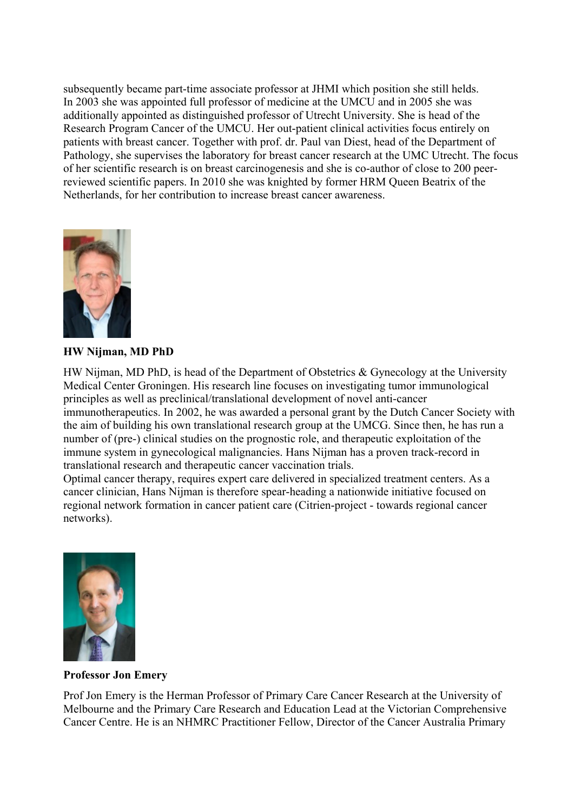subsequently became part-time associate professor at JHMI which position she still helds. In 2003 she was appointed full professor of medicine at the UMCU and in 2005 she was additionally appointed as distinguished professor of Utrecht University. She is head of the Research Program Cancer of the UMCU. Her out-patient clinical activities focus entirely on patients with breast cancer. Together with prof. dr. Paul van Diest, head of the Department of Pathology, she supervises the laboratory for breast cancer research at the UMC Utrecht. The focus of her scientific research is on breast carcinogenesis and she is co-author of close to 200 peerreviewed scientific papers. In 2010 she was knighted by former HRM Queen Beatrix of the Netherlands, for her contribution to increase breast cancer awareness.



**HW Nijman, MD PhD**

HW Nijman, MD PhD, is head of the Department of Obstetrics & Gynecology at the University Medical Center Groningen. His research line focuses on investigating tumor immunological principles as well as preclinical/translational development of novel anti-cancer immunotherapeutics. In 2002, he was awarded a personal grant by the Dutch Cancer Society with the aim of building his own translational research group at the UMCG. Since then, he has run a number of (pre-) clinical studies on the prognostic role, and therapeutic exploitation of the immune system in gynecological malignancies. Hans Nijman has a proven track-record in translational research and therapeutic cancer vaccination trials.

Optimal cancer therapy, requires expert care delivered in specialized treatment centers. As a cancer clinician, Hans Nijman is therefore spear-heading a nationwide initiative focused on regional network formation in cancer patient care (Citrien-project - towards regional cancer networks).



# **Professor Jon Emery**

Prof Jon Emery is the Herman Professor of Primary Care Cancer Research at the University of Melbourne and the Primary Care Research and Education Lead at the Victorian Comprehensive Cancer Centre. He is an NHMRC Practitioner Fellow, Director of the Cancer Australia Primary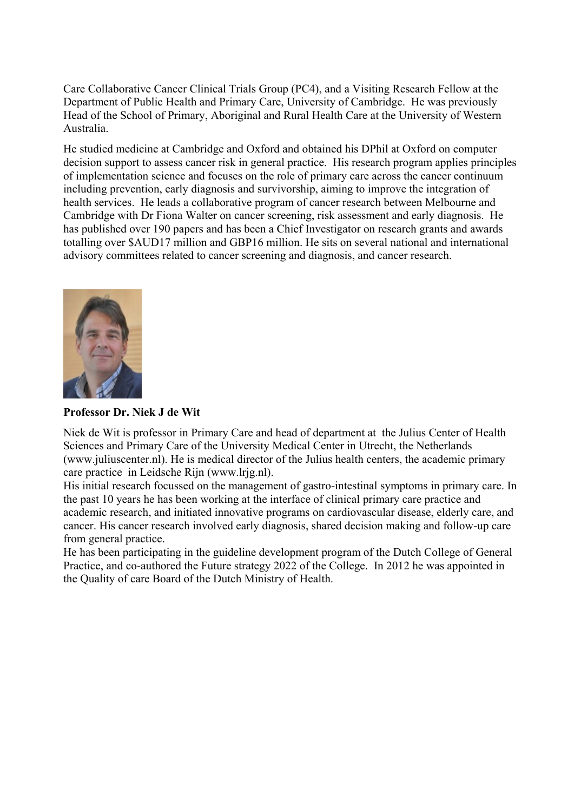Care Collaborative Cancer Clinical Trials Group (PC4), and a Visiting Research Fellow at the Department of Public Health and Primary Care, University of Cambridge. He was previously Head of the School of Primary, Aboriginal and Rural Health Care at the University of Western Australia.

He studied medicine at Cambridge and Oxford and obtained his DPhil at Oxford on computer decision support to assess cancer risk in general practice. His research program applies principles of implementation science and focuses on the role of primary care across the cancer continuum including prevention, early diagnosis and survivorship, aiming to improve the integration of health services. He leads a collaborative program of cancer research between Melbourne and Cambridge with Dr Fiona Walter on cancer screening, risk assessment and early diagnosis. He has published over 190 papers and has been a Chief Investigator on research grants and awards totalling over \$AUD17 million and GBP16 million. He sits on several national and international advisory committees related to cancer screening and diagnosis, and cancer research.



# **Professor Dr. Niek J de Wit**

Niek de Wit is professor in Primary Care and head of department at the Julius Center of Health Sciences and Primary Care of the University Medical Center in Utrecht, the Netherlands (www.juliuscenter.nl). He is medical director of the Julius health centers, the academic primary care practice in Leidsche Rijn (www.lrjg.nl).

His initial research focussed on the management of gastro-intestinal symptoms in primary care. In the past 10 years he has been working at the interface of clinical primary care practice and academic research, and initiated innovative programs on cardiovascular disease, elderly care, and cancer. His cancer research involved early diagnosis, shared decision making and follow-up care from general practice.

He has been participating in the guideline development program of the Dutch College of General Practice, and co-authored the Future strategy 2022 of the College. In 2012 he was appointed in the Quality of care Board of the Dutch Ministry of Health.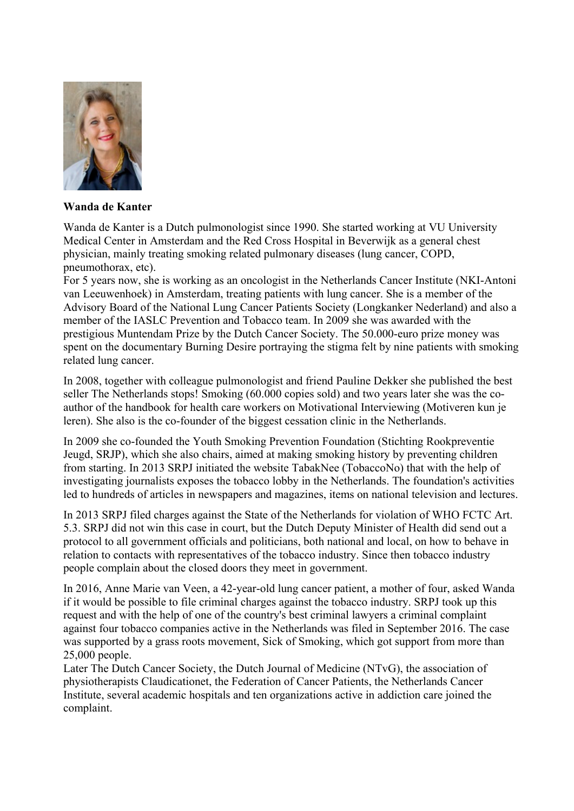

# **Wanda de Kanter**

Wanda de Kanter is a Dutch pulmonologist since 1990. She started working at VU University Medical Center in Amsterdam and the Red Cross Hospital in Beverwijk as a general chest physician, mainly treating smoking related pulmonary diseases (lung cancer, COPD, pneumothorax, etc).

For 5 years now, she is working as an oncologist in the Netherlands Cancer Institute (NKI-Antoni van Leeuwenhoek) in Amsterdam, treating patients with lung cancer. She is a member of the Advisory Board of the National Lung Cancer Patients Society (Longkanker Nederland) and also a member of the IASLC Prevention and Tobacco team. In 2009 she was awarded with the prestigious Muntendam Prize by the Dutch Cancer Society. The 50.000-euro prize money was spent on the documentary Burning Desire portraying the stigma felt by nine patients with smoking related lung cancer.

In 2008, together with colleague pulmonologist and friend Pauline Dekker she published the best seller The Netherlands stops! Smoking (60.000 copies sold) and two years later she was the coauthor of the handbook for health care workers on Motivational Interviewing (Motiveren kun je leren). She also is the co-founder of the biggest cessation clinic in the Netherlands.

In 2009 she co-founded the Youth Smoking Prevention Foundation (Stichting Rookpreventie Jeugd, SRJP), which she also chairs, aimed at making smoking history by preventing children from starting. In 2013 SRPJ initiated the website TabakNee (TobaccoNo) that with the help of investigating journalists exposes the tobacco lobby in the Netherlands. The foundation's activities led to hundreds of articles in newspapers and magazines, items on national television and lectures.

In 2013 SRPJ filed charges against the State of the Netherlands for violation of WHO FCTC Art. 5.3. SRPJ did not win this case in court, but the Dutch Deputy Minister of Health did send out a protocol to all government officials and politicians, both national and local, on how to behave in relation to contacts with representatives of the tobacco industry. Since then tobacco industry people complain about the closed doors they meet in government.

In 2016, Anne Marie van Veen, a 42-year-old lung cancer patient, a mother of four, asked Wanda if it would be possible to file criminal charges against the tobacco industry. SRPJ took up this request and with the help of one of the country's best criminal lawyers a criminal complaint against four tobacco companies active in the Netherlands was filed in September 2016. The case was supported by a grass roots movement, Sick of Smoking, which got support from more than 25,000 people.

Later The Dutch Cancer Society, the Dutch Journal of Medicine (NTvG), the association of physiotherapists Claudicationet, the Federation of Cancer Patients, the Netherlands Cancer Institute, several academic hospitals and ten organizations active in addiction care joined the complaint.